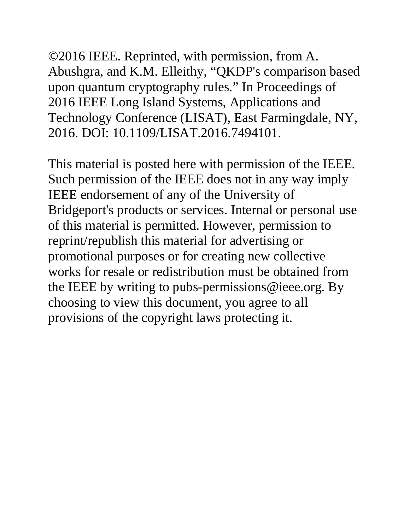©2016 IEEE. Reprinted, with permission, from A. Abushgra, and K.M. Elleithy, "QKDP's comparison based upon quantum cryptography rules." In Proceedings of 2016 IEEE Long Island Systems, Applications and Technology Conference (LISAT), East Farmingdale, NY, 2016. DOI: 10.1109/LISAT.2016.7494101.

This material is posted here with permission of the IEEE. Such permission of the IEEE does not in any way imply IEEE endorsement of any of the University of Bridgeport's products or services. Internal or personal use of this material is permitted. However, permission to reprint/republish this material for advertising or promotional purposes or for creating new collective works for resale or redistribution must be obtained from the IEEE by writing to pubs-permissions @ieee.org. By choosing to view this document, you agree to all provisions of the copyright laws protecting it.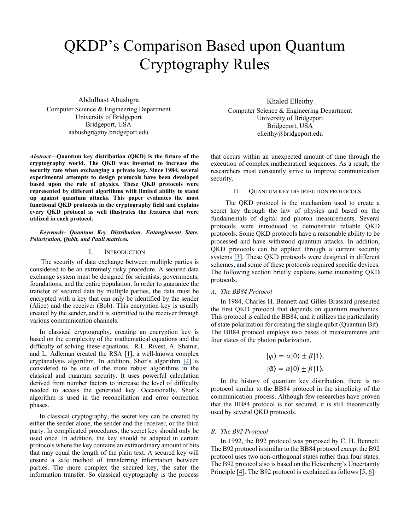# QKDP's Comparison Based upon Quantum Cryptography Rules

Abdulbast Abushgra Computer Science & Engineering Department University of Bridgeport Bridgeport, USA aabushgr@my.bridgeport.edu

*Abstract***—Quantum key distribution (QKD) is the future of the cryptography world. The QKD was invented to increase the security rate when exchanging a private key. Since 1984, several experimental attempts to design protocols have been developed based upon the rule of physics. These QKD protocols were represented by different algorithms with limited ability to stand up against quantum attacks. This paper evaluates the most functional QKD protocols in the cryptography field and explains every QKD protocol as well illustrates the features that were utilized in each protocol.** 

*Keywords- Quantum Key Distribution, Entanglement State, Polarization, Qubit, and Pauli matrices.* 

### I. INTRODUCTION

 The security of data exchange between multiple parties is considered to be an extremely risky procedure. A secured data exchange system must be designed for scientists, governments, foundations, and the entire population. In order to guarantee the transfer of secured data by multiple parties, the data must be encrypted with a key that can only be identified by the sender (Alice) and the receiver (Bob). This encryption key is usually created by the sender, and it is submitted to the receiver through various communication channels.

In classical cryptography, creating an encryption key is based on the complexity of the mathematical equations and the difficulty of solving these equations. R.L. Rivest, A. Shamir, and L. Adleman created the RSA [\[1\]](https://www.researchgate.net/publication/220426289_A_Method_for_Obtaining_Digital_Signatures_and_Public-Key_Cryptosystems?el=1_x_8&enrichId=rgreq-3003b2f43903d12aa946f33d721ec736-XXX&enrichSource=Y292ZXJQYWdlOzMwNDE4ODc1NjtBUzozNzgwMzcwMTIwNTgxMTJAMTQ2NzE0MjQ1NTg3MA==), a well-known complex cryptanalysis algorithm. In addition, Shor's algorithm [\[2\]](https://www.researchgate.net/publication/2818380_Polynomial-Time_Algorithms_For_Prime_Factorization_And_Discrete_Logarithms_On_A_Quantum_Computer?el=1_x_8&enrichId=rgreq-3003b2f43903d12aa946f33d721ec736-XXX&enrichSource=Y292ZXJQYWdlOzMwNDE4ODc1NjtBUzozNzgwMzcwMTIwNTgxMTJAMTQ2NzE0MjQ1NTg3MA==) is considered to be one of the more robust algorithms in the classical and quantum security. It uses powerful calculation derived from number factors to increase the level of difficulty needed to access the generated key. Occasionally, Shor's algorithm is used in the reconciliation and error correction phases.

In classical cryptography, the secret key can be created by either the sender alone, the sender and the receiver, or the third party. In complicated procedures, the secret key should only be used once. In addition, the key should be adapted in certain protocols where the key contains an extraordinary amount of bits that may equal the length of the plain text. A secured key will ensure a safe method of transferring information between parties. The more complex the secured key, the safer the information transfer. So classical cryptography is the process

Khaled Elleithy Computer Science & Engineering Department University of Bridgeport Bridgeport, USA elleithy@bridgeport.edu

that occurs within an unexpected amount of time through the execution of complex mathematical sequences. As a result, the researchers must constantly strive to improve communication security.

# II. QUANTUM KEY DISTRIBUTION PROTOCOLS

The QKD protocol is the mechanism used to create a secret key through the law of physics and based on the fundamentals of digital and photon measurements. Several protocols were introduced to demonstrate reliable QKD protocols. Some QKD protocols have a reasonable ability to be processed and have withstood quantum attacks. In addition, QKD protocols can be applied through a current security systems [\[3\]](https://www.researchgate.net/publication/276409997_Security_of_Quantum_Key_Distribution?el=1_x_8&enrichId=rgreq-3003b2f43903d12aa946f33d721ec736-XXX&enrichSource=Y292ZXJQYWdlOzMwNDE4ODc1NjtBUzozNzgwMzcwMTIwNTgxMTJAMTQ2NzE0MjQ1NTg3MA==). These QKD protocols were designed in different schemes, and some of these protocols required specific devices. The following section briefly explains some interesting QKD protocols.

#### *A. The BB84 Protocol*

In 1984, Charles H. Bennett and Gilles Brassard presented the first QKD protocol that depends on quantum mechanics. This protocol is called the BB84, and it utilizes the particularity of state polarization for creating the single qubit (Quantum Bit). The BB84 protocol employs two bases of measurements and four states of the photon polarization.

$$
|\varphi\rangle = \alpha|0\rangle \pm \beta|1\rangle,
$$
  

$$
|\varphi\rangle = \alpha|0\rangle \pm \beta|1\rangle.
$$

In the history of quantum key distribution, there is no protocol similar to the BB84 protocol in the simplicity of the communication process. Although few researches have proven that the BB84 protocol is not secured, it is still theoretically used by several QKD protocols.

#### *B. The B92 Protocol*

In 1992, the B92 protocol was proposed by C. H. Bennett. The B92 protocol is similar to the BB84 protocol except the B92 protocol uses two non-orthogonal states rather than four states. The B92 protocol also is based on the Heisenberg's Uncertainty Principle [\[4\]](https://www.researchgate.net/publication/228575112_Quantum_Key_Distribution_Protocols_A_Survey?el=1_x_8&enrichId=rgreq-3003b2f43903d12aa946f33d721ec736-XXX&enrichSource=Y292ZXJQYWdlOzMwNDE4ODc1NjtBUzozNzgwMzcwMTIwNTgxMTJAMTQ2NzE0MjQ1NTg3MA==). The B92 protocol is explained as follows [5, [6\]](https://www.researchgate.net/publication/13243704_Quantum_Cryptography_using_any_two_Nonorthogonal_Sates?el=1_x_8&enrichId=rgreq-3003b2f43903d12aa946f33d721ec736-XXX&enrichSource=Y292ZXJQYWdlOzMwNDE4ODc1NjtBUzozNzgwMzcwMTIwNTgxMTJAMTQ2NzE0MjQ1NTg3MA==):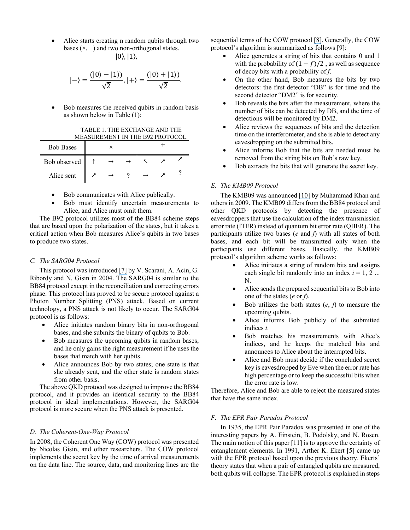Alice starts creating n random qubits through two bases  $(x, +)$  and two non-orthogonal states.  $|0\rangle$ ,  $|1\rangle$ ,

$$
|-\rangle=\frac{(|0\rangle-|1\rangle)}{\sqrt{2}},|+\rangle=\frac{(|0\rangle+|1\rangle)}{\sqrt{2}}.
$$

Bob measures the received qubits in random basis as shown below in Table (1):

| TABLE 1. THE EXCHANGE AND THE    |
|----------------------------------|
| MEASUREMENT IN THE B92 PROTOCOL. |

| <b>Bob Bases</b> |  |  |  |
|------------------|--|--|--|
| Bob observed     |  |  |  |
| Alice sent       |  |  |  |

- Bob communicates with Alice publically.
- Bob must identify uncertain measurements to Alice, and Alice must omit them.

The B92 protocol utilizes most of the BB84 scheme steps that are based upon the polarization of the states, but it takes a critical action when Bob measures Alice's qubits in two bases to produce two states.

# *C. The SARG04 Protocol*

This protocol was introduced [\[7\]](https://www.researchgate.net/publication/8681020_Quantum_Cryptography_Protocols_Robust_against_Photon_Number_Splitting_Attacks_for_Weak_Laser_Pulse_Implementations?el=1_x_8&enrichId=rgreq-3003b2f43903d12aa946f33d721ec736-XXX&enrichSource=Y292ZXJQYWdlOzMwNDE4ODc1NjtBUzozNzgwMzcwMTIwNTgxMTJAMTQ2NzE0MjQ1NTg3MA==) by V. Scarani, A. Acin, G. Ribordy and N. Gisin in 2004. The SARG04 is similar to the BB84 protocol except in the reconciliation and correcting errors phase. This protocol has proved to be secure protocol against a Photon Number Splitting (PNS) attack. Based on current technology, a PNS attack is not likely to occur. The SARG04 protocol is as follows:

- Alice initiates random binary bits in non-orthogonal bases, and she submits the binary of qubits to Bob.
- Bob measures the upcoming qubits in random bases, and he only gains the right measurement if he uses the bases that match with her qubits.
- Alice announces Bob by two states; one state is that she already sent, and the other state is random states from other basis.

The above QKD protocol was designed to improve the BB84 protocol, and it provides an identical security to the BB84 protocol in ideal implementations. However, the SARG04 protocol is more secure when the PNS attack is presented.

# *D. The Coherent-One-Way Protocol*

In 2008, the Coherent One Way (COW) protocol was presented by Nicolas Gisin, and other researchers. The COW protocol implements the secret key by the time of arrival measurements on the data line. The source, data, and monitoring lines are the sequential terms of the COW protocol [\[8\]](https://www.researchgate.net/publication/2194106_Towards_practical_and_fast_Quantum_Cryptography?el=1_x_8&enrichId=rgreq-3003b2f43903d12aa946f33d721ec736-XXX&enrichSource=Y292ZXJQYWdlOzMwNDE4ODc1NjtBUzozNzgwMzcwMTIwNTgxMTJAMTQ2NzE0MjQ1NTg3MA==). Generally, the COW protocol's algorithm is summarized as follows [9]:

- Alice generates a string of bits that contains 0 and 1 with the probability of  $(1 - f)/2$ , as well as sequence of decoy bits with a probability of *f*.
- On the other hand, Bob measures the bits by two detectors: the first detector "DB" is for time and the second detector "DM2" is for security.
- Bob reveals the bits after the measurement, where the number of bits can be detected by DB, and the time of detections will be monitored by DM2.
- Alice reviews the sequences of bits and the detection time on the interferometer, and she is able to detect any eavesdropping on the submitted bits.
- Alice informs Bob that the bits are needed must be removed from the string bits on Bob's raw key.
- Bob extracts the bits that will generate the secret key.

#### *E. The KMB09 Protocol*

The KMB09 was announced [\[10\]](https://www.researchgate.net/publication/23936126_High_error-rate_quantum_key_distribution_for_long-distance_communication?el=1_x_8&enrichId=rgreq-3003b2f43903d12aa946f33d721ec736-XXX&enrichSource=Y292ZXJQYWdlOzMwNDE4ODc1NjtBUzozNzgwMzcwMTIwNTgxMTJAMTQ2NzE0MjQ1NTg3MA==) by Muhammad Khan and others in 2009. The KMB09 differs from the BB84 protocol and other QKD protocols by detecting the presence of eavesdroppers that use the calculation of the index transmission error rate (ITER) instead of quantum bit error rate (QBER). The participants utilize two bases (*e* and *f*) with all states of both bases, and each bit will be transmitted only when the participants use different bases. Basically, the KMB09 protocol's algorithm scheme works as follows:

- Alice initiates a string of random bits and assigns each single bit randomly into an index  $i = 1, 2...$ N.
- Alice sends the prepared sequential bits to Bob into one of the states (*e* or *f*).
- Bob utilizes the both states  $(e, f)$  to measure the upcoming qubits.
- Alice informs Bob publicly of the submitted indices *i*.
- Bob matches his measurements with Alice's indices, and he keeps the matched bits and announces to Alice about the interrupted bits.
- Alice and Bob must decide if the concluded secret key is eavesdropped by Eve when the error rate has high percentage or to keep the successful bits when the error rate is low.

Therefore, Alice and Bob are able to reject the measured states that have the same index.

### *F. The EPR Pair Paradox Protocol*

In 1935, the EPR Pair Paradox was presented in one of the interesting papers by A. Einstein, B. Podolsky, and N. Rosen. The main notion of this paper [11] is to approve the certainty of entanglement elements. In 1991, Arther K. Ekert [5] came up with the EPR protocol based upon the previous theory. Ekerts' theory states that when a pair of entangled qubits are measured, both qubits will collapse. The EPR protocol is explained in steps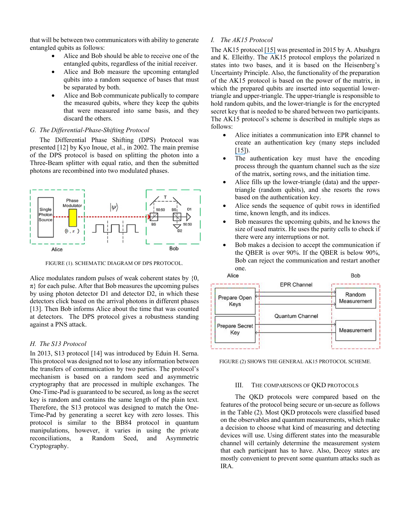that will be between two communicators with ability to generate entangled qubits as follows:

- Alice and Bob should be able to receive one of the entangled qubits, regardless of the initial receiver.
- Alice and Bob measure the upcoming entangled qubits into a random sequence of bases that must be separated by both.
- Alice and Bob communicate publically to compare the measured qubits, where they keep the qubits that were measured into same basis, and they discard the others.

# *G. The Differential-Phase-Shifting Protocol*

The Differential Phase Shifting (DPS) Protocol was presented [12] by Kyo Inoue, et al., in 2002. The main premise of the DPS protocol is based on splitting the photon into a Three-Beam splitter with equal ratio, and then the submitted photons are recombined into two modulated phases.



FIGURE (1). SCHEMATIC DIAGRAM OF DPS PROTOCOL.

Alice modulates random pulses of weak coherent states by {0,  $\pi$ } for each pulse. After that Bob measures the upcoming pulses by using photon detector D1 and detector D2, in which these detectors click based on the arrival photons in different phases [13]. Then Bob informs Alice about the time that was counted at detectors. The DPS protocol gives a robustness standing against a PNS attack.

### *H. The S13 Protocol*

In 2013, S13 protocol [14] was introduced by Eduin H. Serna. This protocol was designed not to lose any information between the transfers of communication by two parties. The protocol's mechanism is based on a random seed and asymmetric cryptography that are processed in multiple exchanges. The One-Time-Pad is guaranteed to be secured, as long as the secret key is random and contains the same length of the plain text. Therefore, the S13 protocol was designed to match the One-Time-Pad by generating a secret key with zero losses. This protocol is similar to the BB84 protocol in quantum manipulations, however, it varies in using the private reconciliations, a Random Seed, and Asymmetric Cryptography.

# *I. The AK15 Protocol*

The AK15 protocol [\[15\]](https://www.researchgate.net/publication/258312374_Quantum_Key_Distribution_From_A_Random_Seed?el=1_x_8&enrichId=rgreq-3003b2f43903d12aa946f33d721ec736-XXX&enrichSource=Y292ZXJQYWdlOzMwNDE4ODc1NjtBUzozNzgwMzcwMTIwNTgxMTJAMTQ2NzE0MjQ1NTg3MA==) was presented in 2015 by A. Abushgra and K. Elleithy. The AK15 protocol employs the polarized n states into two bases, and it is based on the Heisenberg's Uncertainty Principle. Also, the functionality of the preparation of the AK15 protocol is based on the power of the matrix, in which the prepared qubits are inserted into sequential lowertriangle and upper-triangle. The upper-triangle is responsible to hold random qubits, and the lower-triangle is for the encrypted secret key that is needed to be shared between two participants. The AK15 protocol's scheme is described in multiple steps as follows:

- Alice initiates a communication into EPR channel to create an authentication key (many steps included  $[15]$ ).
- The authentication key must have the encoding process through the quantum channel such as the size of the matrix, sorting rows, and the initiation time.
- Alice fills up the lower-triangle (data) and the uppertriangle (random qubits), and she resorts the rows based on the authentication key.
- Alice sends the sequence of qubit rows in identified time, known length, and its indices.
- Bob measures the upcoming qubits, and he knows the size of used matrix. He uses the parity cells to check if there were any interruptions or not.
- Bob makes a decision to accept the communication if the QBER is over 90%. If the QBER is below 90%, Bob can reject the communication and restart another one.



FIGURE (2) SHOWS THE GENERAL AK15 PROTOCOL SCHEME.

### III. THE COMPARISONS OF QKD PROTOCOLS

The QKD protocols were compared based on the features of the protocol being secure or un-secure as follows in the Table (2). Most QKD protocols were classified based on the observables and quantum measurements, which make a decision to choose what kind of measuring and detecting devices will use. Using different states into the measurable channel will certainly determine the measurement system that each participant has to have. Also, Decoy states are mostly convenient to prevent some quantum attacks such as IRA.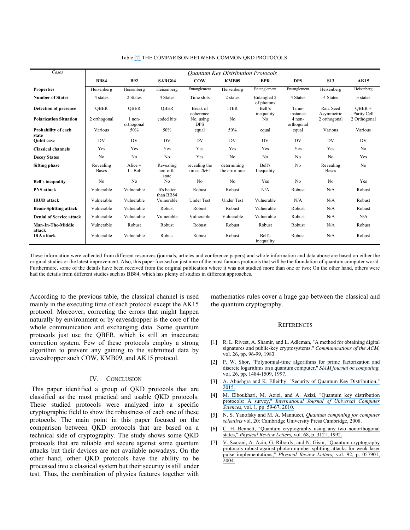| Cases                              | <b>Ouantum Key Distribution Protocols</b> |                        |                                 |                               |                               |                           |                      |                           |                         |  |
|------------------------------------|-------------------------------------------|------------------------|---------------------------------|-------------------------------|-------------------------------|---------------------------|----------------------|---------------------------|-------------------------|--|
|                                    | <b>BB84</b>                               | <b>B92</b>             | SARG04                          | <b>COW</b>                    | <b>KMB09</b>                  | <b>EPR</b>                | <b>DPS</b>           | <b>S13</b>                | <b>AK15</b>             |  |
|                                    |                                           |                        |                                 |                               |                               |                           |                      |                           |                         |  |
| <b>Properties</b>                  | Heisenberg                                | Heisenberg             | Heisenberg                      | Entanglement                  | Heisenberg                    | Entanglement              | Entanglement         | Heisenberg                | Heisenberg              |  |
| <b>Number of States</b>            | 4 states                                  | 2 States               | 4 States                        | Time slots                    | 2 states                      | Entangled 2<br>of photons | 4 States             | 4 States                  | $n$ states              |  |
| Detection of presence              | <b>OBER</b>                               | <b>OBER</b>            | <b>OBER</b>                     | Break of<br>coherence         | <b>ITER</b>                   | Bell's<br>inequality      | Time-<br>instance    | Ran. Seed<br>Asymmetric   | $OBER +$<br>Parity Cell |  |
| <b>Polarization Situation</b>      | 2 orthogonal                              | 1 non-<br>orthogonal   | coded bits                      | No, using<br><b>DPS</b>       | No                            | N <sub>0</sub>            | 4 non-<br>orthogonal | 2 orthogonal              | 2 Orthogonal            |  |
| Probability of each<br>state       | Various                                   | 50%                    | 50%                             | equal                         | 50%                           | equal                     | equal                | Various                   | Various                 |  |
| <b>Oubit case</b>                  | DV                                        | DV                     | DV                              | DV                            | DV                            | DV                        | DV                   | DV                        | DV                      |  |
| <b>Classical channels</b>          | Yes                                       | Yes                    | Yes                             | Yes                           | Yes                           | Yes                       | Yes                  | Yes                       | N <sub>0</sub>          |  |
| <b>Decoy States</b>                | N <sub>0</sub>                            | No                     | N <sub>0</sub>                  | Yes                           | N <sub>0</sub>                | N <sub>0</sub>            | N <sub>0</sub>       | N <sub>0</sub>            | Yes                     |  |
| <b>Sifting phase</b>               | Revealing<br><b>Bases</b>                 | $Alice =$<br>$1 - Bob$ | Revealing<br>non-orth.<br>state | revealing the<br>times $2k+1$ | determining<br>the error rate | Bell's<br>Inequality      | N <sub>0</sub>       | Revealing<br><b>Bases</b> | N <sub>0</sub>          |  |
| <b>Bell's inequality</b>           | N <sub>o</sub>                            | N <sub>o</sub>         | N <sub>0</sub>                  | N <sub>0</sub>                | N <sub>o</sub>                | Yes                       | N <sub>0</sub>       | N <sub>0</sub>            | Yes                     |  |
| <b>PNS</b> attack                  | Vulnerable                                | Vulnerable             | It's better<br>than BB84        | Robust                        | Robust                        | N/A                       | Robust               | N/A                       | Robust                  |  |
| <b>IRUD</b> attack                 | Vulnerable                                | Vulnerable             | Vulnerable                      | <b>Under Test</b>             | <b>Under Test</b>             | Vulnerable                | N/A                  | N/A                       | Robust                  |  |
| <b>Beam-Splitting attack</b>       | Vulnerable                                | Vulnerable             | Robust                          | Robust                        | Robust                        | Vulnerable                | Robust               | N/A                       | Robust                  |  |
| <b>Denial of Service attack</b>    | Vulnerable                                | Vulnerable             | Vulnerable                      | Vulnerable                    | Vulnerable                    | Vulnerable                | Robust               | N/A                       | N/A                     |  |
| <b>Man-In-The-Middle</b><br>attack | Vulnerable                                | Robust                 | Robust                          | Robust                        | Robust                        | Robust                    | Robust               | N/A                       | Robust                  |  |
| <b>IRA</b> attack                  | Vulnerable                                | Vulnerable             | Robust                          | Robust                        | Robust                        | Bell's<br>inequality      | Robust               | N/A                       | Robust                  |  |

#### Table [\[2\]](https://www.researchgate.net/publication/2818380_Polynomial-Time_Algorithms_For_Prime_Factorization_And_Discrete_Logarithms_On_A_Quantum_Computer?el=1_x_8&enrichId=rgreq-3003b2f43903d12aa946f33d721ec736-XXX&enrichSource=Y292ZXJQYWdlOzMwNDE4ODc1NjtBUzozNzgwMzcwMTIwNTgxMTJAMTQ2NzE0MjQ1NTg3MA==) THE COMPARISON BETWEEN COMMON QKD PROTOCOLS.

These information were collected from different resources (journals, articles and conference papers) and whole information and data above are based on either the original studies or the latest improvement. Also, this paper focused on just nine of the most famous protocols that will be the foundation of quantum computer world. Furthermore, some of the details have been received from the original publication where it was not studied more than one or two; On the other hand, others were had the details from different studies such as BB84, which has plenty of studies in different approaches.

According to the previous table, the classical channel is used mainly in the executing time of each protocol except the AK15 protocol. Moreover, correcting the errors that might happen naturally by environment or by eavesdropper is the core of the whole communication and exchanging data. Some quantum protocols just use the QBER, which is still an inaccurate correction system. Few of these protocols employ a strong algorithm to prevent any gaining to the submitted data by eavesdropper such COW, KMB09, and AK15 protocol.

# IV. CONCLUSION

 This paper identified a group of QKD protocols that are classified as the most practical and usable QKD protocols. These studied protocols were analyzed into a specific cryptographic field to show the robustness of each one of these protocols. The main point in this paper focused on the comparison between QKD protocols that are based on a technical side of cryptography. The study shows some QKD protocols that are reliable and secure against some quantum attacks but their devices are not available nowadays. On the other hand, other QKD protocols have the ability to be processed into a classical system but their security is still under test. Thus, the combination of physics features together with

mathematics rules cover a huge gap between the classical and the quantum cryptography.

#### **REFERENCES**

- [1] [R. L. Rivest, A. Shamir, and L. Adleman, "A method for obtaining digital](https://www.researchgate.net/publication/220426289_A_Method_for_Obtaining_Digital_Signatures_and_Public-Key_Cryptosystems?el=1_x_8&enrichId=rgreq-3003b2f43903d12aa946f33d721ec736-XXX&enrichSource=Y292ZXJQYWdlOzMwNDE4ODc1NjtBUzozNzgwMzcwMTIwNTgxMTJAMTQ2NzE0MjQ1NTg3MA==) [signatures and public-key cryptosystems,"](https://www.researchgate.net/publication/220426289_A_Method_for_Obtaining_Digital_Signatures_and_Public-Key_Cryptosystems?el=1_x_8&enrichId=rgreq-3003b2f43903d12aa946f33d721ec736-XXX&enrichSource=Y292ZXJQYWdlOzMwNDE4ODc1NjtBUzozNzgwMzcwMTIwNTgxMTJAMTQ2NzE0MjQ1NTg3MA==) *Communications of the ACM,*  [vol. 26, pp. 96-99, 1983.](https://www.researchgate.net/publication/220426289_A_Method_for_Obtaining_Digital_Signatures_and_Public-Key_Cryptosystems?el=1_x_8&enrichId=rgreq-3003b2f43903d12aa946f33d721ec736-XXX&enrichSource=Y292ZXJQYWdlOzMwNDE4ODc1NjtBUzozNzgwMzcwMTIwNTgxMTJAMTQ2NzE0MjQ1NTg3MA==)
- [2] [P. W. Shor, "Polynomial-time algorithms for prime factorization and](https://www.researchgate.net/publication/2818380_Polynomial-Time_Algorithms_For_Prime_Factorization_And_Discrete_Logarithms_On_A_Quantum_Computer?el=1_x_8&enrichId=rgreq-3003b2f43903d12aa946f33d721ec736-XXX&enrichSource=Y292ZXJQYWdlOzMwNDE4ODc1NjtBUzozNzgwMzcwMTIwNTgxMTJAMTQ2NzE0MjQ1NTg3MA==) [discrete logarithms on a quantum computer,"](https://www.researchgate.net/publication/2818380_Polynomial-Time_Algorithms_For_Prime_Factorization_And_Discrete_Logarithms_On_A_Quantum_Computer?el=1_x_8&enrichId=rgreq-3003b2f43903d12aa946f33d721ec736-XXX&enrichSource=Y292ZXJQYWdlOzMwNDE4ODc1NjtBUzozNzgwMzcwMTIwNTgxMTJAMTQ2NzE0MjQ1NTg3MA==) *SIAM journal on computing,*  [vol. 26, pp. 1484-1509, 1997.](https://www.researchgate.net/publication/2818380_Polynomial-Time_Algorithms_For_Prime_Factorization_And_Discrete_Logarithms_On_A_Quantum_Computer?el=1_x_8&enrichId=rgreq-3003b2f43903d12aa946f33d721ec736-XXX&enrichSource=Y292ZXJQYWdlOzMwNDE4ODc1NjtBUzozNzgwMzcwMTIwNTgxMTJAMTQ2NzE0MjQ1NTg3MA==)
- [3] [A. Abushgra and K. Elleithy, "Security of Quantum Key Distribution,"](https://www.researchgate.net/publication/276409997_Security_of_Quantum_Key_Distribution?el=1_x_8&enrichId=rgreq-3003b2f43903d12aa946f33d721ec736-XXX&enrichSource=Y292ZXJQYWdlOzMwNDE4ODc1NjtBUzozNzgwMzcwMTIwNTgxMTJAMTQ2NzE0MjQ1NTg3MA==) [2015.](https://www.researchgate.net/publication/276409997_Security_of_Quantum_Key_Distribution?el=1_x_8&enrichId=rgreq-3003b2f43903d12aa946f33d721ec736-XXX&enrichSource=Y292ZXJQYWdlOzMwNDE4ODc1NjtBUzozNzgwMzcwMTIwNTgxMTJAMTQ2NzE0MjQ1NTg3MA==)
- [4] [M. Elboukhari, M. Azizi, and A. Azizi, "Quantum key distribution](https://www.researchgate.net/publication/228575112_Quantum_Key_Distribution_Protocols_A_Survey?el=1_x_8&enrichId=rgreq-3003b2f43903d12aa946f33d721ec736-XXX&enrichSource=Y292ZXJQYWdlOzMwNDE4ODc1NjtBUzozNzgwMzcwMTIwNTgxMTJAMTQ2NzE0MjQ1NTg3MA==) protocols: A survey," *[International Journal of Universal Computer](https://www.researchgate.net/publication/228575112_Quantum_Key_Distribution_Protocols_A_Survey?el=1_x_8&enrichId=rgreq-3003b2f43903d12aa946f33d721ec736-XXX&enrichSource=Y292ZXJQYWdlOzMwNDE4ODc1NjtBUzozNzgwMzcwMTIwNTgxMTJAMTQ2NzE0MjQ1NTg3MA==) Sciences,* [vol. 1, pp. 59-67, 2010.](https://www.researchgate.net/publication/228575112_Quantum_Key_Distribution_Protocols_A_Survey?el=1_x_8&enrichId=rgreq-3003b2f43903d12aa946f33d721ec736-XXX&enrichSource=Y292ZXJQYWdlOzMwNDE4ODc1NjtBUzozNzgwMzcwMTIwNTgxMTJAMTQ2NzE0MjQ1NTg3MA==)
- [5] N. S. Yanofsky and M. A. Mannucci, *Quantum computing for computer scientists* vol. 20: Cambridge University Press Cambridge, 2008.
- [6] [C. H. Bennett, "Quantum cryptography using any two nonorthogonal](https://www.researchgate.net/publication/13243704_Quantum_Cryptography_using_any_two_Nonorthogonal_Sates?el=1_x_8&enrichId=rgreq-3003b2f43903d12aa946f33d721ec736-XXX&enrichSource=Y292ZXJQYWdlOzMwNDE4ODc1NjtBUzozNzgwMzcwMTIwNTgxMTJAMTQ2NzE0MjQ1NTg3MA==) states," *[Physical Review Letters,](https://www.researchgate.net/publication/13243704_Quantum_Cryptography_using_any_two_Nonorthogonal_Sates?el=1_x_8&enrichId=rgreq-3003b2f43903d12aa946f33d721ec736-XXX&enrichSource=Y292ZXJQYWdlOzMwNDE4ODc1NjtBUzozNzgwMzcwMTIwNTgxMTJAMTQ2NzE0MjQ1NTg3MA==)* vol. 68, p. 3121, 1992.
- [7] [V. Scarani, A. Acin, G. Ribordy, and N. Gisin, "Quantum cryptography](https://www.researchgate.net/publication/8681020_Quantum_Cryptography_Protocols_Robust_against_Photon_Number_Splitting_Attacks_for_Weak_Laser_Pulse_Implementations?el=1_x_8&enrichId=rgreq-3003b2f43903d12aa946f33d721ec736-XXX&enrichSource=Y292ZXJQYWdlOzMwNDE4ODc1NjtBUzozNzgwMzcwMTIwNTgxMTJAMTQ2NzE0MjQ1NTg3MA==) [protocols robust against photon number splitting attacks for weak laser](https://www.researchgate.net/publication/8681020_Quantum_Cryptography_Protocols_Robust_against_Photon_Number_Splitting_Attacks_for_Weak_Laser_Pulse_Implementations?el=1_x_8&enrichId=rgreq-3003b2f43903d12aa946f33d721ec736-XXX&enrichSource=Y292ZXJQYWdlOzMwNDE4ODc1NjtBUzozNzgwMzcwMTIwNTgxMTJAMTQ2NzE0MjQ1NTg3MA==) pulse implementations," *[Physical Review Letters,](https://www.researchgate.net/publication/8681020_Quantum_Cryptography_Protocols_Robust_against_Photon_Number_Splitting_Attacks_for_Weak_Laser_Pulse_Implementations?el=1_x_8&enrichId=rgreq-3003b2f43903d12aa946f33d721ec736-XXX&enrichSource=Y292ZXJQYWdlOzMwNDE4ODc1NjtBUzozNzgwMzcwMTIwNTgxMTJAMTQ2NzE0MjQ1NTg3MA==)* vol. 92, p. 057901, [2004.](https://www.researchgate.net/publication/8681020_Quantum_Cryptography_Protocols_Robust_against_Photon_Number_Splitting_Attacks_for_Weak_Laser_Pulse_Implementations?el=1_x_8&enrichId=rgreq-3003b2f43903d12aa946f33d721ec736-XXX&enrichSource=Y292ZXJQYWdlOzMwNDE4ODc1NjtBUzozNzgwMzcwMTIwNTgxMTJAMTQ2NzE0MjQ1NTg3MA==)